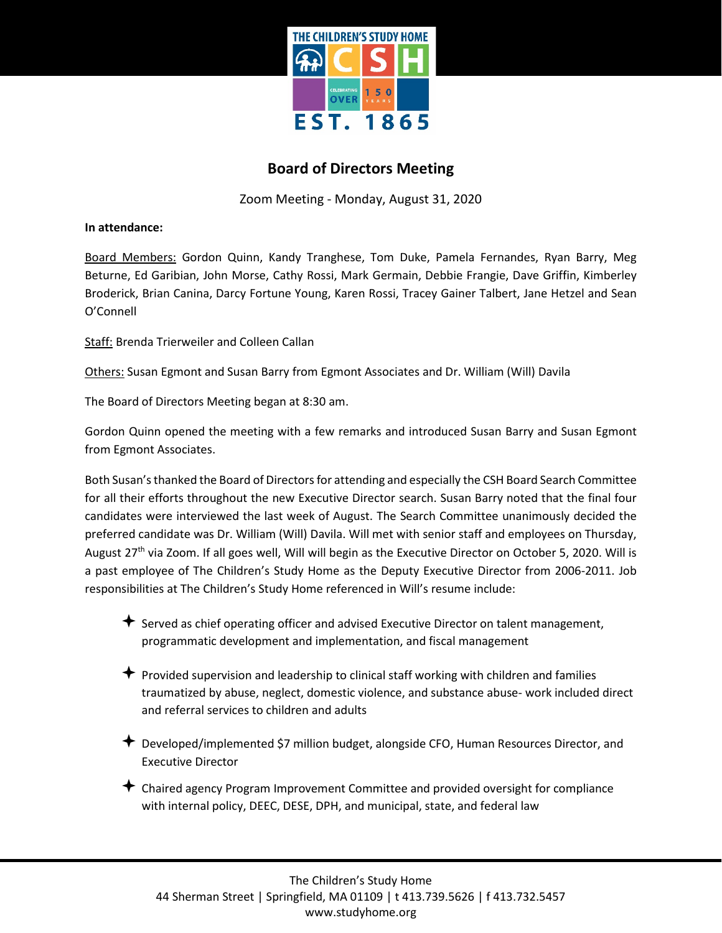

## **Board of Directors Meeting**

Zoom Meeting - Monday, August 31, 2020

**In attendance:**

Board Members: Gordon Quinn, Kandy Tranghese, Tom Duke, Pamela Fernandes, Ryan Barry, Meg Beturne, Ed Garibian, John Morse, Cathy Rossi, Mark Germain, Debbie Frangie, Dave Griffin, Kimberley Broderick, Brian Canina, Darcy Fortune Young, Karen Rossi, Tracey Gainer Talbert, Jane Hetzel and Sean O'Connell

Staff: Brenda Trierweiler and Colleen Callan

Others: Susan Egmont and Susan Barry from Egmont Associates and Dr. William (Will) Davila

The Board of Directors Meeting began at 8:30 am.

Gordon Quinn opened the meeting with a few remarks and introduced Susan Barry and Susan Egmont from Egmont Associates.

Both Susan's thanked the Board of Directors for attending and especially the CSH Board Search Committee for all their efforts throughout the new Executive Director search. Susan Barry noted that the final four candidates were interviewed the last week of August. The Search Committee unanimously decided the preferred candidate was Dr. William (Will) Davila. Will met with senior staff and employees on Thursday, August 27<sup>th</sup> via Zoom. If all goes well, Will will begin as the Executive Director on October 5, 2020. Will is a past employee of The Children's Study Home as the Deputy Executive Director from 2006-2011. Job responsibilities at The Children's Study Home referenced in Will's resume include:

- $\triangle$  Served as chief operating officer and advised Executive Director on talent management, programmatic development and implementation, and fiscal management
- $\bigstar$  Provided supervision and leadership to clinical staff working with children and families traumatized by abuse, neglect, domestic violence, and substance abuse- work included direct and referral services to children and adults
- Developed/implemented \$7 million budget, alongside CFO, Human Resources Director, and Executive Director
- Chaired agency Program Improvement Committee and provided oversight for compliance with internal policy, DEEC, DESE, DPH, and municipal, state, and federal law